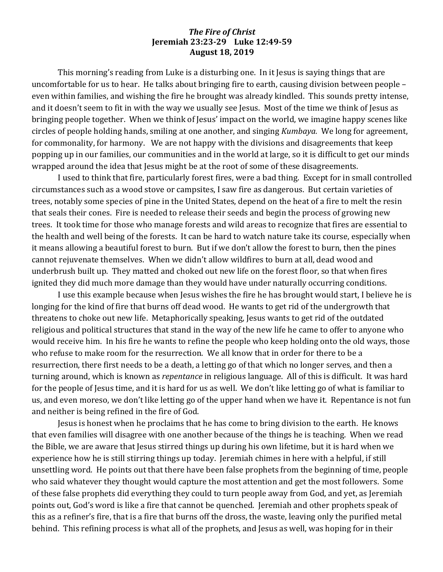## **The Fire of Christ Jeremiah 23:23-29 Luke 12:49-59 August 18, 2019**

This morning's reading from Luke is a disturbing one. In it Jesus is saying things that are uncomfortable for us to hear. He talks about bringing fire to earth, causing division between people  $$ even within families, and wishing the fire he brought was already kindled. This sounds pretty intense, and it doesn't seem to fit in with the way we usually see Jesus. Most of the time we think of Jesus as bringing people together. When we think of Jesus' impact on the world, we imagine happy scenes like circles of people holding hands, smiling at one another, and singing *Kumbaya*. We long for agreement, for commonality, for harmony. We are not happy with the divisions and disagreements that keep popping up in our families, our communities and in the world at large, so it is difficult to get our minds wrapped around the idea that Jesus might be at the root of some of these disagreements.

I used to think that fire, particularly forest fires, were a bad thing. Except for in small controlled circumstances such as a wood stove or campsites, I saw fire as dangerous. But certain varieties of trees, notably some species of pine in the United States, depend on the heat of a fire to melt the resin that seals their cones. Fire is needed to release their seeds and begin the process of growing new trees. It took time for those who manage forests and wild areas to recognize that fires are essential to the health and well being of the forests. It can be hard to watch nature take its course, especially when it means allowing a beautiful forest to burn. But if we don't allow the forest to burn, then the pines cannot rejuvenate themselves. When we didn't allow wildfires to burn at all, dead wood and underbrush built up. They matted and choked out new life on the forest floor, so that when fires ignited they did much more damage than they would have under naturally occurring conditions.

I use this example because when Jesus wishes the fire he has brought would start, I believe he is longing for the kind of fire that burns off dead wood. He wants to get rid of the undergrowth that threatens to choke out new life. Metaphorically speaking, Jesus wants to get rid of the outdated religious and political structures that stand in the way of the new life he came to offer to anyone who would receive him. In his fire he wants to refine the people who keep holding onto the old ways, those who refuse to make room for the resurrection. We all know that in order for there to be a resurrection, there first needs to be a death, a letting go of that which no longer serves, and then a turning around, which is known as *repentance* in religious language. All of this is difficult. It was hard for the people of Jesus time, and it is hard for us as well. We don't like letting go of what is familiar to us, and even moreso, we don't like letting go of the upper hand when we have it. Repentance is not fun and neither is being refined in the fire of God.

Jesus is honest when he proclaims that he has come to bring division to the earth. He knows that even families will disagree with one another because of the things he is teaching. When we read the Bible, we are aware that Jesus stirred things up during his own lifetime, but it is hard when we experience how he is still stirring things up today. Jeremiah chimes in here with a helpful, if still unsettling word. He points out that there have been false prophets from the beginning of time, people who said whatever they thought would capture the most attention and get the most followers. Some of these false prophets did everything they could to turn people away from God, and yet, as Jeremiah points out, God's word is like a fire that cannot be quenched. Ieremiah and other prophets speak of this as a refiner's fire, that is a fire that burns off the dross, the waste, leaving only the purified metal behind. This refining process is what all of the prophets, and Jesus as well, was hoping for in their